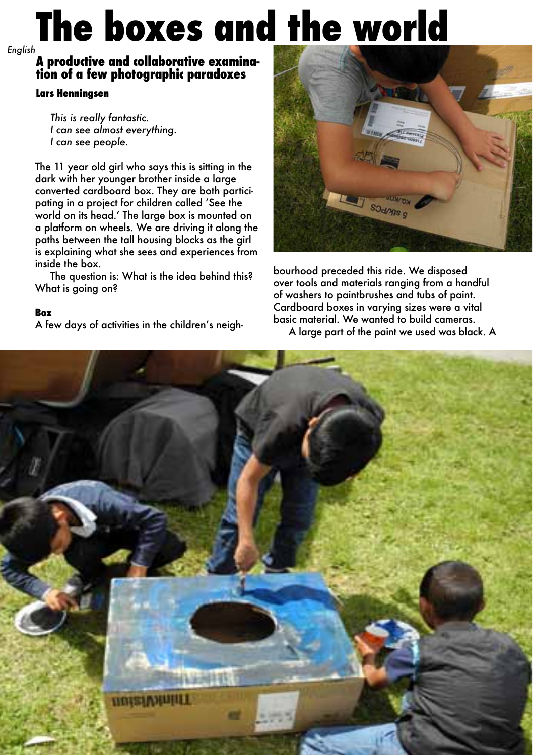# **The boxes and the world** *English*

## **A productive and collaborative examination of a few photographic paradoxes**

### **Lars Henningsen**

 *This is really fantastic. I can see almost everything. I can see people.* 

The 11 year old girl who says this is sitting in the dark with her younger brother inside a large converted cardboard box. They are both participating in a project for children called 'See the world on its head.' The large box is mounted on a platform on wheels. We are driving it along the paths between the tall housing blocks as the girl is explaining what she sees and experiences from inside the box.

The question is: What is the idea behind this? What is going on?

### **Box**

A few days of activities in the children's neigh-



bourhood preceded this ride. We disposed over tools and materials ranging from a handful of washers to paintbrushes and tubs of paint. Cardboard boxes in varying sizes were a vital basic material. We wanted to build cameras.

A large part of the paint we used was black. A

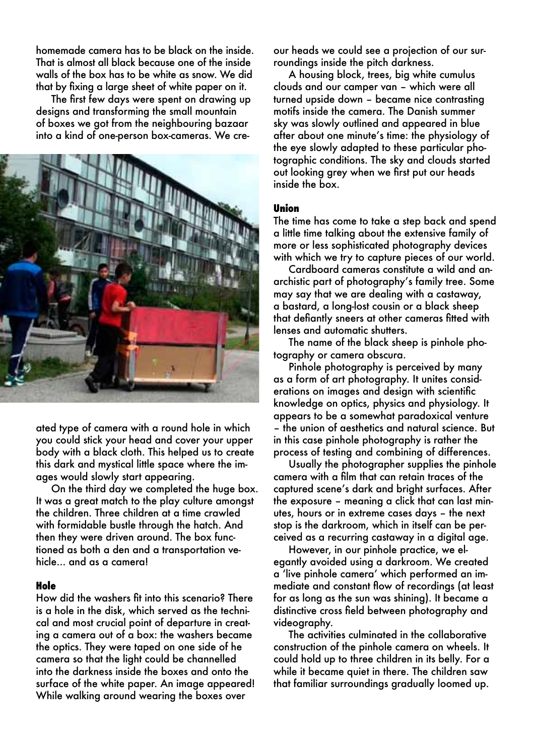homemade camera has to be black on the inside. That is almost all black because one of the inside walls of the box has to be white as snow. We did that by fixing a large sheet of white paper on it.

 The first few days were spent on drawing up designs and transforming the small mountain of boxes we got from the neighbouring bazaar into a kind of one-person box-cameras. We cre-



ated type of camera with a round hole in which you could stick your head and cover your upper body with a black cloth. This helped us to create this dark and mystical little space where the images would slowly start appearing.

 On the third day we completed the huge box. It was a great match to the play culture amongst the children. Three children at a time crawled with formidable bustle through the hatch. And then they were driven around. The box functioned as both a den and a transportation vehicle... and as a camera!

### **Hole**

How did the washers fit into this scenario? There is a hole in the disk, which served as the technical and most crucial point of departure in creating a camera out of a box: the washers became the optics. They were taped on one side of he camera so that the light could be channelled into the darkness inside the boxes and onto the surface of the white paper. An image appeared! While walking around wearing the boxes over

our heads we could see a projection of our surroundings inside the pitch darkness.

 A housing block, trees, big white cumulus clouds and our camper van – which were all turned upside down – became nice contrasting motifs inside the camera. The Danish summer sky was slowly outlined and appeared in blue after about one minute's time: the physiology of the eye slowly adapted to these particular photographic conditions. The sky and clouds started out looking grey when we first put our heads inside the box.

### **Union**

The time has come to take a step back and spend a little time talking about the extensive family of more or less sophisticated photography devices with which we try to capture pieces of our world.

 Cardboard cameras constitute a wild and anarchistic part of photography's family tree. Some may say that we are dealing with a castaway, a bastard, a long-lost cousin or a black sheep that defiantly sneers at other cameras fitted with lenses and automatic shutters.

 The name of the black sheep is pinhole photography or camera obscura.

 Pinhole photography is perceived by many as a form of art photography. It unites considerations on images and design with scientific knowledge on optics, physics and physiology. It appears to be a somewhat paradoxical venture – the union of aesthetics and natural science. But in this case pinhole photography is rather the process of testing and combining of differences.

 Usually the photographer supplies the pinhole camera with a film that can retain traces of the captured scene's dark and bright surfaces. After the exposure – meaning a click that can last minutes, hours or in extreme cases days – the next stop is the darkroom, which in itself can be perceived as a recurring castaway in a digital age.

 However, in our pinhole practice, we elegantly avoided using a darkroom. We created a 'live pinhole camera' which performed an immediate and constant flow of recordings (at least for as long as the sun was shining). It became a distinctive cross field between photography and videography.

 The activities culminated in the collaborative construction of the pinhole camera on wheels. It could hold up to three children in its belly. For a while it became quiet in there. The children saw that familiar surroundings gradually loomed up.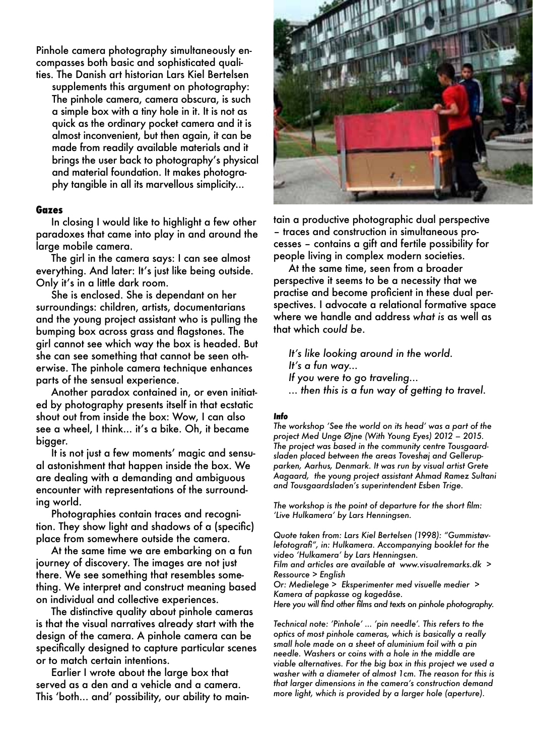Pinhole camera photography simultaneously encompasses both basic and sophisticated qualities. The Danish art historian Lars Kiel Bertelsen

supplements this argument on photography: The pinhole camera, camera obscura, is such a simple box with a tiny hole in it. It is not as quick as the ordinary pocket camera and it is almost inconvenient, but then again, it can be made from readily available materials and it brings the user back to photography's physical and material foundation. It makes photography tangible in all its marvellous simplicity...

### **Gazes**

 In closing I would like to highlight a few other paradoxes that came into play in and around the large mobile camera.

 The girl in the camera says: I can see almost everything. And later: It's just like being outside. Only it's in a little dark room.

 She is enclosed. She is dependant on her surroundings: children, artists, documentarians and the young project assistant who is pulling the bumping box across grass and flagstones. The girl cannot see which way the box is headed. But she can see something that cannot be seen otherwise. The pinhole camera technique enhances parts of the sensual experience.

 Another paradox contained in, or even initiated by photography presents itself in that ecstatic shout out from inside the box: Wow, I can also see a wheel, I think... it's a bike. Oh, it became bigger.

 It is not just a few moments' magic and sensual astonishment that happen inside the box. We are dealing with a demanding and ambiguous encounter with representations of the surrounding world.

 Photographies contain traces and recognition. They show light and shadows of a (specific) place from somewhere outside the camera.

 At the same time we are embarking on a fun journey of discovery. The images are not just there. We see something that resembles something. We interpret and construct meaning based on individual and collective experiences.

 The distinctive quality about pinhole cameras is that the visual narratives already start with the design of the camera. A pinhole camera can be specifically designed to capture particular scenes or to match certain intentions.

 Earlier I wrote about the large box that served as a den and a vehicle and a camera. This 'both... and' possibility, our ability to main-



tain a productive photographic dual perspective – traces and construction in simultaneous processes – contains a gift and fertile possibility for people living in complex modern societies.

 At the same time, seen from a broader perspective it seems to be a necessity that we practise and become proficient in these dual perspectives. I advocate a relational formative space where we handle and address *what is* as well as that which *could be*.

 *It's like looking around in the world. It's a fun way... If you were to go traveling... ... then this is a fun way of getting to travel.* 

### **Info**

*The workshop 'See the world on its head' was a part of the project Med Unge Øjne (With Young Eyes) 2012 – 2015. The project was based in the community centre Tousgaardsladen placed between the areas Toveshøj and Gellerupparken, Aarhus, Denmark. It was run by visual artist Grete Aagaard, the young project assistant Ahmad Ramez Sultani and Tousgaardsladen's superintendent Esben Trige.*

*The workshop is the point of departure for the short film: 'Live Hulkamera' by Lars Henningsen.*

*Quote taken from: Lars Kiel Bertelsen (1998): "Gummistøvlefotografi", in: Hulkamera. Accompanying booklet for the video 'Hulkamera' by Lars Henningsen.* 

*Film and articles are available at www.visualremarks.dk > Ressource > English*

*Or: Medielege > Eksperimenter med visuelle medier > Kamera af papkasse og kagedåse.* 

*Here you will find other films and texts on pinhole photography.* 

*Technical note: 'Pinhole' … 'pin needle'. This refers to the optics of most pinhole cameras, which is basically a really small hole made on a sheet of aluminium foil with a pin needle. Washers or coins with a hole in the middle are viable alternatives. For the big box in this project we used a washer with a diameter of almost 1cm. The reason for this is that larger dimensions in the camera's construction demand more light, which is provided by a larger hole (aperture).*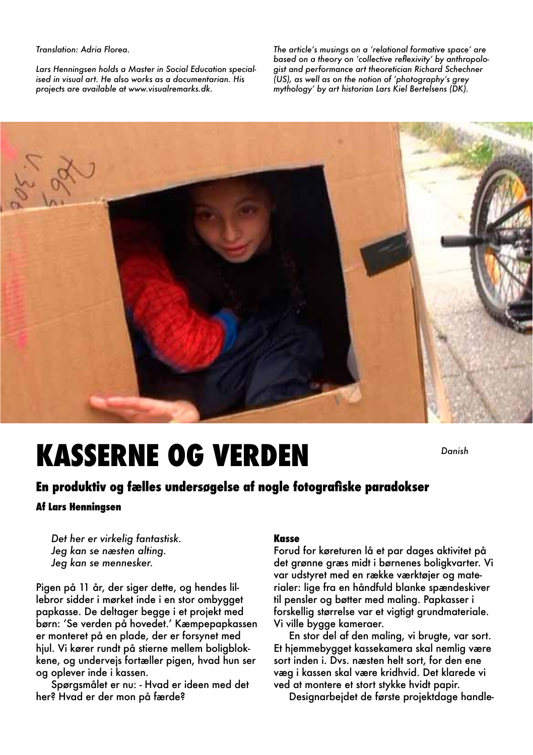### *Translation: Adria Florea.*

*Lars Henningsen holds a Master in Social Education specialised in visual art. He also works as a documentarian. His projects are available at www.visualremarks.dk.* 

*The article's musings on a 'relational formative space' are based on a theory on 'collective reflexivity' by anthropologist and performance art theoretician Richard Schechner (US), as well as on the notion of 'photography's grey mythology' by art historian Lars Kiel Bertelsens (DK).*



# **KASSERNE OG VERDEN**

*Danish*

# **En produktiv og fælles undersøgelse af nogle fotografiske paradokser**

### **Af Lars Henningsen**

 *Det her er virkelig fantastisk. Jeg kan se næsten alting. Jeg kan se mennesker.*

Pigen på 11 år, der siger dette, og hendes lillebror sidder i mørket inde i en stor ombygget papkasse. De deltager begge i et projekt med børn: 'Se verden på hovedet.' Kæmpepapkassen er monteret på en plade, der er forsynet med hjul. Vi kører rundt på stierne mellem boligblokkene, og undervejs fortæller pigen, hvad hun ser og oplever inde i kassen.

 Spørgsmålet er nu: - Hvad er ideen med det her? Hvad er der mon på færde?

### **Kasse**

Forud for køreturen lå et par dages aktivitet på det grønne græs midt i børnenes boligkvarter. Vi var udstyret med en række værktøjer og materialer: lige fra en håndfuld blanke spændeskiver til pensler og bøtter med maling. Papkasser i forskellig størrelse var et vigtigt grundmateriale. Vi ville bygge kameraer.

 En stor del af den maling, vi brugte, var sort. Et hjemmebygget kassekamera skal nemlig være sort inden i. Dvs. næsten helt sort, for den ene væg i kassen skal være kridhvid. Det klarede vi ved at montere et stort stykke hvidt papir.

Designarbejdet de første projektdage handle-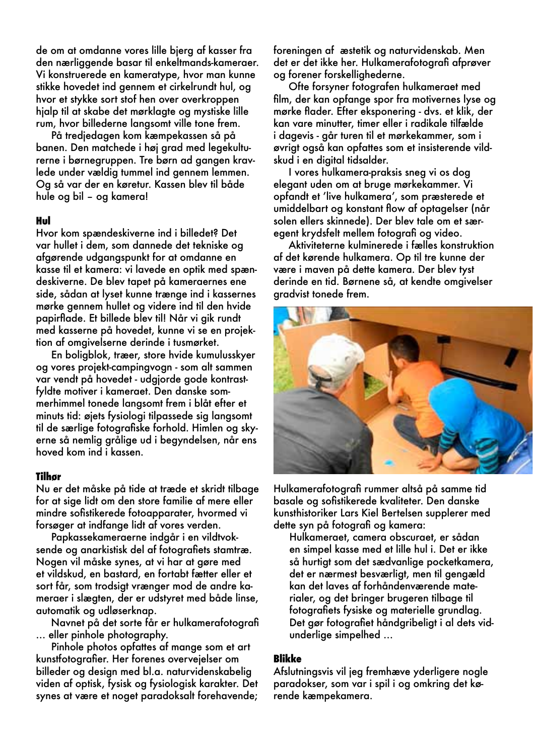de om at omdanne vores lille bjerg af kasser fra den nærliggende basar til enkeltmands-kameraer. Vi konstruerede en kameratype, hvor man kunne stikke hovedet ind gennem et cirkelrundt hul, og hvor et stykke sort stof hen over overkroppen hjalp til at skabe det mørklagte og mystiske lille rum, hvor billederne langsomt ville tone frem.

 På tredjedagen kom kæmpekassen så på banen. Den matchede i høj grad med legekulturerne i børnegruppen. Tre børn ad gangen kravlede under vældig tummel ind gennem lemmen. Og så var der en køretur. Kassen blev til både hule og bil – og kamera!

### **Hul**

Hvor kom spændeskiverne ind i billedet? Det var hullet i dem, som dannede det tekniske og afgørende udgangspunkt for at omdanne en kasse til et kamera: vi lavede en optik med spændeskiverne. De blev tapet på kameraernes ene side, sådan at lyset kunne trænge ind i kassernes mørke gennem hullet og videre ind til den hvide papirflade. Et billede blev til! Når vi gik rundt med kasserne på hovedet, kunne vi se en projektion af omgivelserne derinde i tusmørket.

 En boligblok, træer, store hvide kumulusskyer og vores projekt-campingvogn - som alt sammen var vendt på hovedet - udgjorde gode kontrastfyldte motiver i kameraet. Den danske sommerhimmel tonede langsomt frem i blåt efter et minuts tid: øjets fysiologi tilpassede sig langsomt til de særlige fotografiske forhold. Himlen og skyerne så nemlig grålige ud i begyndelsen, når ens hoved kom ind i kassen.

### **Tilhør**

Nu er det måske på tide at træde et skridt tilbage for at sige lidt om den store familie af mere eller mindre sofistikerede fotoapparater, hvormed vi forsøger at indfange lidt af vores verden.

 Papkassekameraerne indgår i en vildtvoksende og anarkistisk del af fotografiets stamtræ. Nogen vil måske synes, at vi har at gøre med et vildskud, en bastard, en fortabt fætter eller et sort får, som trodsigt vrænger mod de andre kameraer i slægten, der er udstyret med både linse, automatik og udløserknap.

 Navnet på det sorte får er hulkamerafotografi … eller pinhole photography.

 Pinhole photos opfattes af mange som et art kunstfotografier. Her forenes overvejelser om billeder og design med bl.a. naturvidenskabelig viden af optisk, fysisk og fysiologisk karakter. Det synes at være et noget paradoksalt forehavende; foreningen af æstetik og naturvidenskab. Men det er det ikke her. Hulkamerafotografi afprøver og forener forskellighederne.

 Ofte forsyner fotografen hulkameraet med film, der kan opfange spor fra motivernes lyse og mørke flader. Efter eksponering - dvs. et klik, der kan vare minutter, timer eller i radikale tilfælde i dagevis - går turen til et mørkekammer, som i øvrigt også kan opfattes som et insisterende vildskud i en digital tidsalder.

 I vores hulkamera-praksis sneg vi os dog elegant uden om at bruge mørkekammer. Vi opfandt et 'live hulkamera', som præsterede et umiddelbart og konstant flow af optagelser (når solen ellers skinnede). Der blev tale om et særegent krydsfelt mellem fotografi og video.

 Aktiviteterne kulminerede i fælles konstruktion af det kørende hulkamera. Op til tre kunne der være i maven på dette kamera. Der blev tyst derinde en tid. Børnene så, at kendte omgivelser gradvist tonede frem.



Hulkamerafotografi rummer altså på samme tid basale og sofistikerede kvaliteter. Den danske kunsthistoriker Lars Kiel Bertelsen supplerer med dette syn på fotografi og kamera:

Hulkameraet, camera obscuraet, er sådan en simpel kasse med et lille hul i. Det er ikke så hurtigt som det sædvanlige pocketkamera, det er nærmest besværligt, men til gengæld kan det laves af forhåndenværende materialer, og det bringer brugeren tilbage til fotografiets fysiske og materielle grundlag. Det gør fotografiet håndgribeligt i al dets vidunderlige simpelhed …

### **Blikke**

Afslutningsvis vil jeg fremhæve yderligere nogle paradokser, som var i spil i og omkring det kørende kæmpekamera.